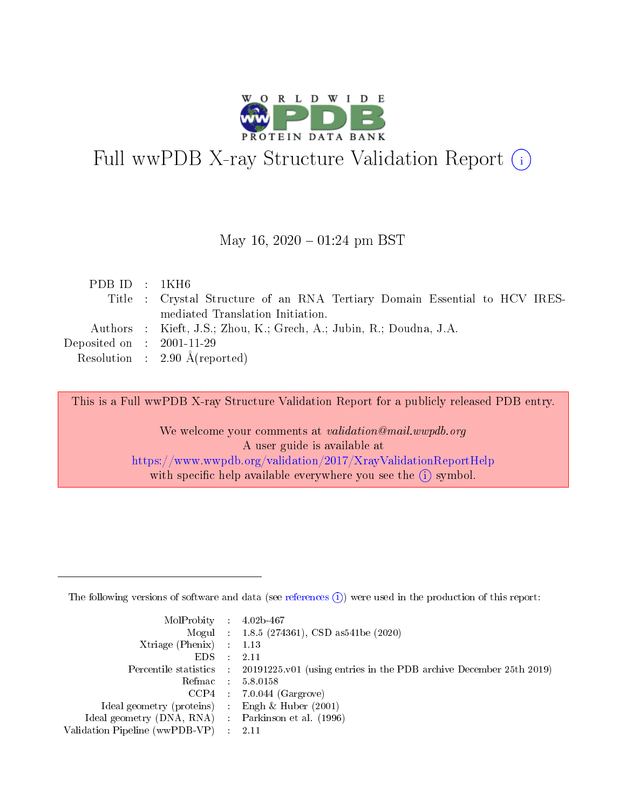

# Full wwPDB X-ray Structure Validation Report (i)

#### May 16,  $2020 - 01:24$  pm BST

| PDBID : 1KH6                         |                                                                            |
|--------------------------------------|----------------------------------------------------------------------------|
|                                      | Title : Crystal Structure of an RNA Tertiary Domain Essential to HCV IRES- |
|                                      | mediated Translation Initiation.                                           |
|                                      | Authors : Kieft, J.S.; Zhou, K.; Grech, A.; Jubin, R.; Doudna, J.A.        |
| Deposited on $\therefore$ 2001-11-29 |                                                                            |
|                                      | Resolution : $2.90 \text{ Å}$ (reported)                                   |
|                                      |                                                                            |

This is a Full wwPDB X-ray Structure Validation Report for a publicly released PDB entry.

We welcome your comments at validation@mail.wwpdb.org A user guide is available at <https://www.wwpdb.org/validation/2017/XrayValidationReportHelp> with specific help available everywhere you see the  $(i)$  symbol.

The following versions of software and data (see [references](https://www.wwpdb.org/validation/2017/XrayValidationReportHelp#references)  $(1)$ ) were used in the production of this report:

| $MolProbability$ 4.02b-467                          |               |                                                                                            |
|-----------------------------------------------------|---------------|--------------------------------------------------------------------------------------------|
|                                                     |               | Mogul : $1.8.5$ (274361), CSD as 541be (2020)                                              |
| Xtriage (Phenix) $: 1.13$                           |               |                                                                                            |
| EDS.                                                | $\mathcal{L}$ | -2.11                                                                                      |
|                                                     |               | Percentile statistics : 20191225.v01 (using entries in the PDB archive December 25th 2019) |
|                                                     |               | Refmac $5.8.0158$                                                                          |
| CCP4                                                |               | $7.0.044$ (Gargrove)                                                                       |
| Ideal geometry (proteins)                           | $\sim$        | Engh $\&$ Huber (2001)                                                                     |
| Ideal geometry (DNA, RNA) : Parkinson et al. (1996) |               |                                                                                            |
| Validation Pipeline (wwPDB-VP) : 2.11               |               |                                                                                            |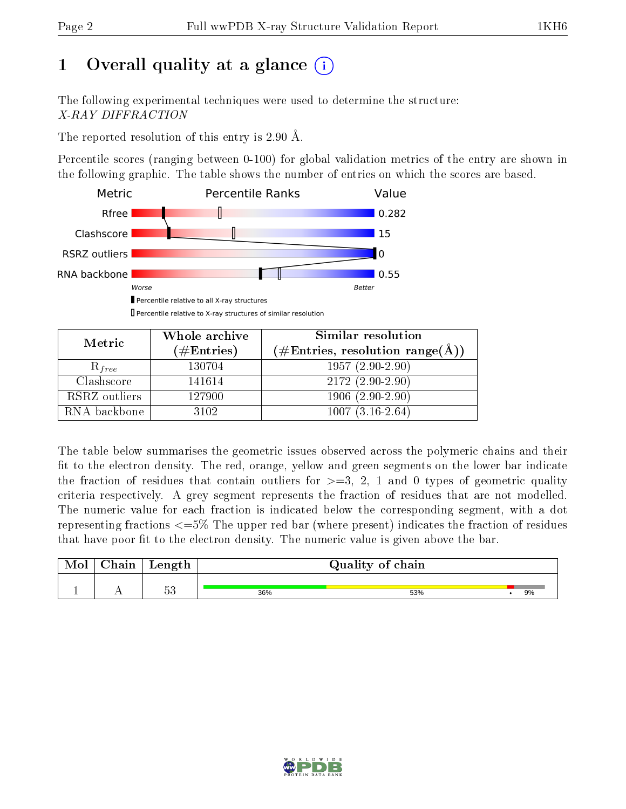# 1 [O](https://www.wwpdb.org/validation/2017/XrayValidationReportHelp#overall_quality)verall quality at a glance  $(i)$

The following experimental techniques were used to determine the structure: X-RAY DIFFRACTION

The reported resolution of this entry is 2.90 Å.

Percentile scores (ranging between 0-100) for global validation metrics of the entry are shown in the following graphic. The table shows the number of entries on which the scores are based.



Metric Whole archive  $(\#\text{Entries})$ Similar resolution  $(\#\text{Entries}, \, \text{resolution range}(\text{A}))$  $R_{free}$  130704 1957 (2.90-2.90) Clashscore | 141614 | 2172 (2.90-2.90) RSRZ outliers | 127900 1906 (2.90-2.90) RNA backbone 3102 1007 (3.16-2.64)

The table below summarises the geometric issues observed across the polymeric chains and their fit to the electron density. The red, orange, yellow and green segments on the lower bar indicate the fraction of residues that contain outliers for  $\geq=3$ , 2, 1 and 0 types of geometric quality criteria respectively. A grey segment represents the fraction of residues that are not modelled. The numeric value for each fraction is indicated below the corresponding segment, with a dot representing fractions  $\epsilon = 5\%$  The upper red bar (where present) indicates the fraction of residues that have poor fit to the electron density. The numeric value is given above the bar.

| Mol | $\gamma_{\text{hoin}}$<br>uam | $\mathop{\rm Length}$ |     | Quality of chain |    |
|-----|-------------------------------|-----------------------|-----|------------------|----|
| л.  | $\sim$ $\sim$                 | $\sim$ 0<br>'n<br>ಀಀ  | 36% | 53%              | 9% |

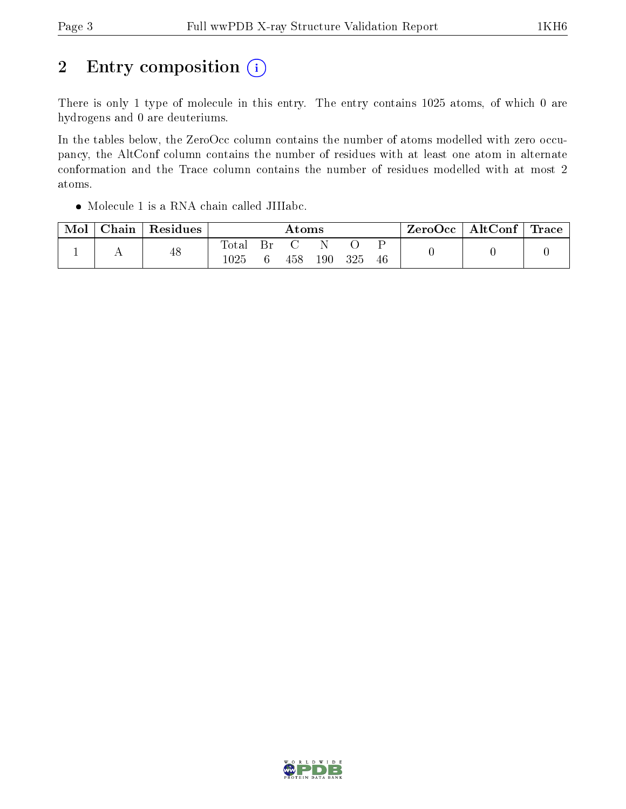# 2 Entry composition  $(i)$

There is only 1 type of molecule in this entry. The entry contains 1025 atoms, of which 0 are hydrogens and 0 are deuteriums.

In the tables below, the ZeroOcc column contains the number of atoms modelled with zero occupancy, the AltConf column contains the number of residues with at least one atom in alternate conformation and the Trace column contains the number of residues modelled with at most 2 atoms.

Molecule 1 is a RNA chain called JIIIabc.

| Mol | $\text{Chain}$ | Residues | Atoms        |    |     |         | ZeroOcc | $\mid$ AltConf $\mid$ Trace $\mid$ |  |  |  |
|-----|----------------|----------|--------------|----|-----|---------|---------|------------------------------------|--|--|--|
|     |                | 48       | Total<br>025 | Вr | 458 | $190\,$ | 325     | 46                                 |  |  |  |

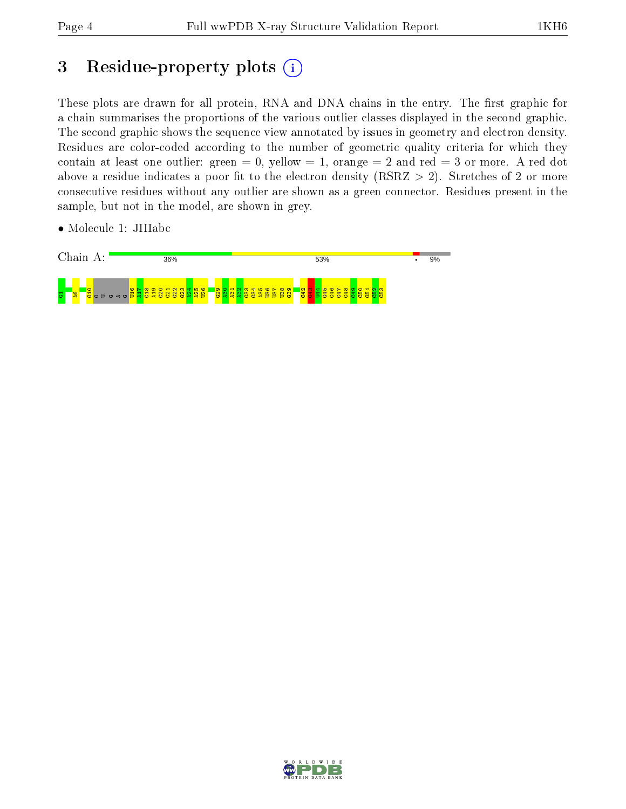## 3 Residue-property plots  $(i)$

These plots are drawn for all protein, RNA and DNA chains in the entry. The first graphic for a chain summarises the proportions of the various outlier classes displayed in the second graphic. The second graphic shows the sequence view annotated by issues in geometry and electron density. Residues are color-coded according to the number of geometric quality criteria for which they contain at least one outlier: green  $= 0$ , yellow  $= 1$ , orange  $= 2$  and red  $= 3$  or more. A red dot above a residue indicates a poor fit to the electron density (RSRZ  $> 2$ ). Stretches of 2 or more consecutive residues without any outlier are shown as a green connector. Residues present in the sample, but not in the model, are shown in grey.

• Molecule 1: JIIIabc



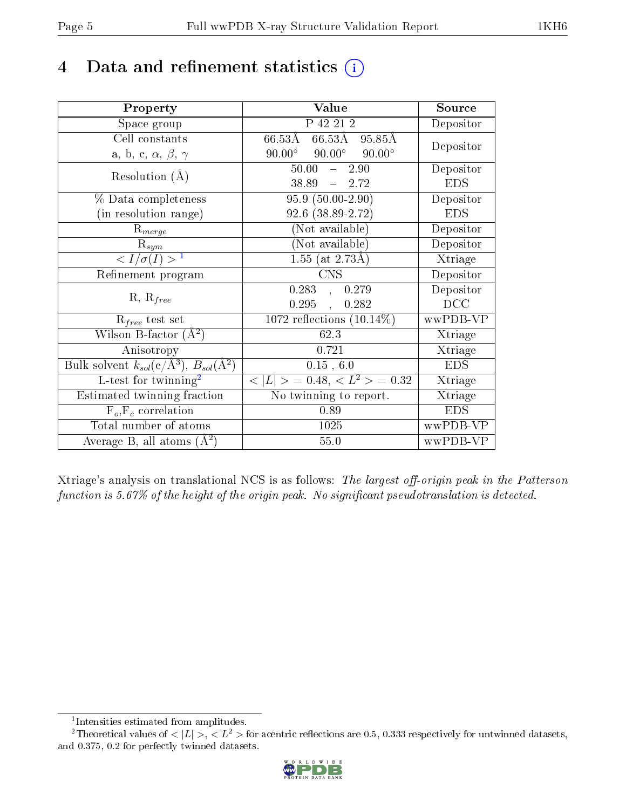## 4 Data and refinement statistics  $(i)$

| Property                                                                | Value                                             | Source     |
|-------------------------------------------------------------------------|---------------------------------------------------|------------|
| Space group                                                             | P 42 21 2                                         | Depositor  |
| Cell constants                                                          | $66.53\text{\AA}$<br>66.53Å<br>95.85Å             | Depositor  |
| a, b, c, $\alpha$ , $\beta$ , $\gamma$                                  | $90.00^\circ$<br>$90.00^\circ$<br>$90.00^{\circ}$ |            |
| Resolution $(A)$                                                        | 50.00<br>$-2.90$                                  | Depositor  |
|                                                                         | 38.89<br>$-2.72$                                  | <b>EDS</b> |
| % Data completeness                                                     | $95.9(50.00-2.90)$                                | Depositor  |
| (in resolution range)                                                   | 92.6 (38.89-2.72)                                 | <b>EDS</b> |
| $R_{merge}$                                                             | (Not available)                                   | Depositor  |
| $\mathrm{R}_{sym}$                                                      | (Not available)                                   | Depositor  |
| $\langle I/\sigma(I) \rangle^{-1}$                                      | $1.55$ (at 2.73Å)                                 | Xtriage    |
| Refinement program                                                      | <b>CNS</b>                                        | Depositor  |
|                                                                         | $\overline{0.283}$ ,<br>0.279                     | Depositor  |
| $R, R_{free}$                                                           | 0.295,<br>0.282                                   | DCC        |
| $\mathcal{R}_{free}$ test set                                           | 1072 reflections $(10.14\%)$                      | wwPDB-VP   |
| Wilson B-factor $(A^2)$                                                 | 62.3                                              | Xtriage    |
| Anisotropy                                                              | 0.721                                             | Xtriage    |
| Bulk solvent $k_{sol}(\mathrm{e}/\mathrm{A}^3),\,B_{sol}(\mathrm{A}^2)$ | 0.15, 6.0                                         | <b>EDS</b> |
| L-test for twinning <sup>2</sup>                                        | $< L >$ = 0.48, $< L^2 >$ = 0.32                  | Xtriage    |
| Estimated twinning fraction                                             | No twinning to report.                            | Xtriage    |
| $F_o, F_c$ correlation                                                  | 0.89                                              | <b>EDS</b> |
| Total number of atoms                                                   | 1025                                              | wwPDB-VP   |
| Average B, all atoms $(A^2)$                                            | 55.0                                              | wwPDB-VP   |

Xtriage's analysis on translational NCS is as follows: The largest off-origin peak in the Patterson function is  $5.67\%$  of the height of the origin peak. No significant pseudotranslation is detected.

<sup>&</sup>lt;sup>2</sup>Theoretical values of  $\langle |L| \rangle$ ,  $\langle L^2 \rangle$  for acentric reflections are 0.5, 0.333 respectively for untwinned datasets, and 0.375, 0.2 for perfectly twinned datasets.



<span id="page-4-1"></span><span id="page-4-0"></span><sup>1</sup> Intensities estimated from amplitudes.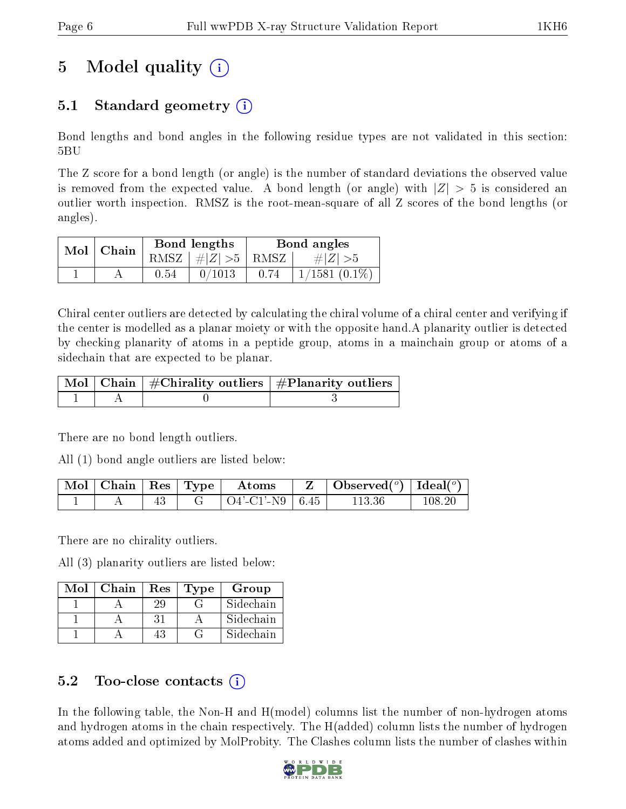# 5 Model quality  $(i)$

### 5.1 Standard geometry  $(i)$

Bond lengths and bond angles in the following residue types are not validated in this section: 5BU

The Z score for a bond length (or angle) is the number of standard deviations the observed value is removed from the expected value. A bond length (or angle) with  $|Z| > 5$  is considered an outlier worth inspection. RMSZ is the root-mean-square of all Z scores of the bond lengths (or angles).

|  | $Mol$   Chain |      | Bond lengths                            | Bond angles |                 |  |
|--|---------------|------|-----------------------------------------|-------------|-----------------|--|
|  |               |      | RMSZ $\mid \#  Z  > 5 \mid$ RMSZ $\mid$ |             | $\# Z  > 5$     |  |
|  |               | 0.54 | 0/1013                                  | 0.74        | $1/1581(0.1\%)$ |  |

Chiral center outliers are detected by calculating the chiral volume of a chiral center and verifying if the center is modelled as a planar moiety or with the opposite hand.A planarity outlier is detected by checking planarity of atoms in a peptide group, atoms in a mainchain group or atoms of a sidechain that are expected to be planar.

|  | $\mid$ Mol $\mid$ Chain $\mid$ #Chirality outliers $\mid$ #Planarity outliers $\mid$ |
|--|--------------------------------------------------------------------------------------|
|  |                                                                                      |

There are no bond length outliers.

All (1) bond angle outliers are listed below:

| Mol   Chain   Res   Type |  | Atoms                | Observed( $^{\circ}$ )   Ideal( $^{\circ}$ ) |     |
|--------------------------|--|----------------------|----------------------------------------------|-----|
|                          |  | $Q4'$ -C1'-N9   6.45 | 113.36                                       | 108 |

There are no chirality outliers.

All (3) planarity outliers are listed below:

| Mol | Chain | Res | Type | Group     |
|-----|-------|-----|------|-----------|
|     |       | 29  |      | Sidechain |
|     |       | 31  |      | Sidechain |
|     |       |     |      | Sidechain |

### 5.2 Too-close contacts  $(i)$

In the following table, the Non-H and H(model) columns list the number of non-hydrogen atoms and hydrogen atoms in the chain respectively. The H(added) column lists the number of hydrogen atoms added and optimized by MolProbity. The Clashes column lists the number of clashes within

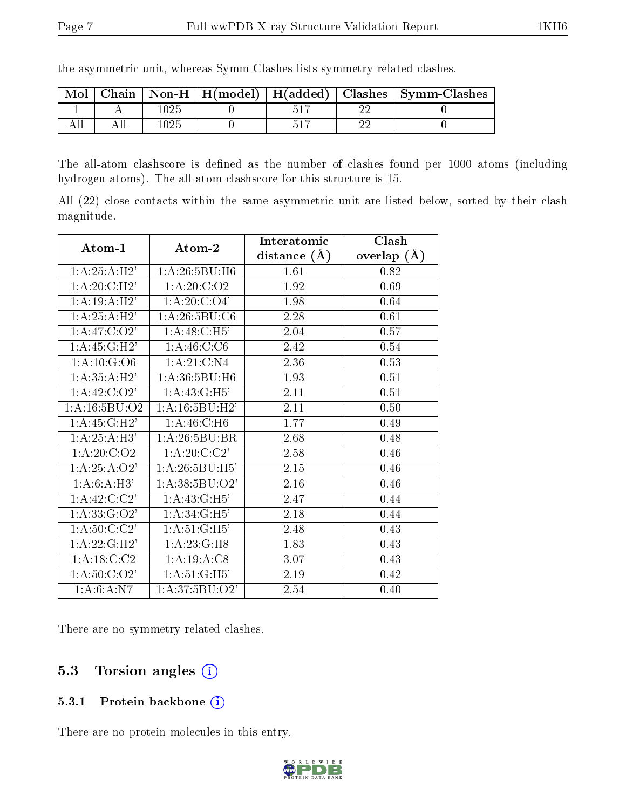the asymmetric unit, whereas Symm-Clashes lists symmetry related clashes.

| $\bf{Mol}$ |     |  | Chain   Non-H   H(model)   H(added)   Clashes   Symm-Clashes |
|------------|-----|--|--------------------------------------------------------------|
|            | 025 |  |                                                              |
|            | 025 |  |                                                              |

The all-atom clashscore is defined as the number of clashes found per 1000 atoms (including hydrogen atoms). The all-atom clashscore for this structure is 15.

All (22) close contacts within the same asymmetric unit are listed below, sorted by their clash magnitude.

|                                       |                           | Interatomic       | Clash         |
|---------------------------------------|---------------------------|-------------------|---------------|
| $\boldsymbol{\mathrm{Atom}\text{-}1}$ | Atom-2                    | distance $(A)$    | overlap $(A)$ |
| 1:A:25:A:H2'                          | 1:A:26:5BU:H6             | 1.61              | 0.82          |
| 1: A:20: C: H2'                       | 1: A:20: C:O2             | 1.92              | 0.69          |
| $1:A:\overline{19:A:H2'}$             | 1: A:20: C:O4'            | 1.98              | 0.64          |
| 1:A:25:A:H2'                          | 1:A:26:5BU:C6             | 2.28              | 0.61          |
| 1:A:47:C:O2'                          | 1: A:48: C:H5'            | 2.04              | 0.57          |
| 1: A:45: G:H2'                        | 1: A:46: C: C6            | 2.42              | 0.54          |
| 1: A: 10: G: O6                       | 1:A:21:C:N4               | 2.36              | 0.53          |
| 1:A:35:A:H2'                          | 1:A:36:5BU:H6             | 1.93              | 0.51          |
| $1:A.\overline{42:C:\overline{O2'}}$  | 1: A: 43: G: H5'          | 2.11              | 0.51          |
| 1: A: 16: 5BU: O2                     | 1: A: 16: 5BU: H2'        | 2.11              | 0.50          |
| 1: A:45: G:H2'                        | $1:A:46:C:\overline{H6}$  | 1.77              | 0.49          |
| 1:A:25:A:H3'                          | 1: A:26:5BU:BR            | 2.68              | 0.48          |
| 1: A:20: C:O2                         | 1: A:20: C:C2'            | 2.58              | 0.46          |
| 1: A: 25: A: O2'                      | 1: A:26:5BU:H5'           | $\overline{2.15}$ | 0.46          |
| 1:A:6:A:H3'                           | 1: A:38:5BU:O2'           | 2.16              | 0.46          |
| 1: A:42:C:C2'                         | 1: A:43: G:H5'            | 2.47              | 0.44          |
| $1:A:33:\overline{G:O2'}$             | $1:A:34:\overline{G:H5'}$ | 2.18              | 0.44          |
| $1: A:50: \overline{C:2}$             | 1: A:51: G:H5'            | 2.48              | 0.43          |
| 1: A:22: G:H2'                        | 1:A:23:G:H8               | 1.83              | 0.43          |
| 1: A: 18: C: C2                       | 1:A:19:A:C8               | 3.07              | 0.43          |
| 1: A:50: C:O2'                        | 1: A:51: G:H5'            | $2.19\,$          | 0.42          |
| 1: A:6: A: N7                         | 1:A:37:5BU:O2'            | 2.54              | 0.40          |

There are no symmetry-related clashes.

#### 5.3 Torsion angles (i)

#### 5.3.1 Protein backbone (i)

There are no protein molecules in this entry.

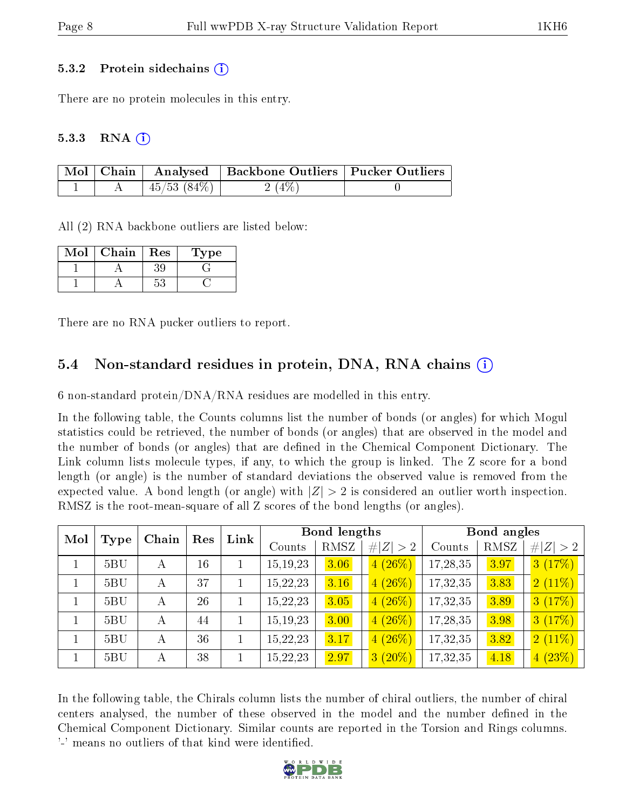#### 5.3.2 Protein sidechains  $\hat{1}$

There are no protein molecules in this entry.

#### $5.3.3$  RNA  $(i)$

|  |                  | Mol   Chain   Analysed   Backbone Outliers   Pucker Outliers |  |
|--|------------------|--------------------------------------------------------------|--|
|  | $45/53$ $(84\%)$ | 2(4%)                                                        |  |

All (2) RNA backbone outliers are listed below:

| Mol | Chain | Res | l'ype |
|-----|-------|-----|-------|
|     |       |     |       |
|     |       |     |       |

There are no RNA pucker outliers to report.

#### 5.4 Non-standard residues in protein, DNA, RNA chains (i)

6 non-standard protein/DNA/RNA residues are modelled in this entry.

In the following table, the Counts columns list the number of bonds (or angles) for which Mogul statistics could be retrieved, the number of bonds (or angles) that are observed in the model and the number of bonds (or angles) that are defined in the Chemical Component Dictionary. The Link column lists molecule types, if any, to which the group is linked. The Z score for a bond length (or angle) is the number of standard deviations the observed value is removed from the expected value. A bond length (or angle) with  $|Z| > 2$  is considered an outlier worth inspection. RMSZ is the root-mean-square of all Z scores of the bond lengths (or angles).

| Mol<br>Chain<br>Type |   | Res | Link |            | <b>Bond lengths</b> |             | Bond angles |      |           |
|----------------------|---|-----|------|------------|---------------------|-------------|-------------|------|-----------|
|                      |   |     |      | Counts     | RMSZ                | # $ Z  > 2$ | Counts      | RMSZ | Z >2<br># |
| 5BU                  | А | 16  |      | 15, 19, 23 | 3.06                | $4(26\%)$   | 17,28,35    | 3.97 | 3(17%)    |
| 5BU                  | А | 37  |      | 15,22,23   | 3.16                | $4(26\%)$   | 17,32,35    | 3.83 | $2(11\%)$ |
| 5BU                  | А | 26  |      | 15,22,23   | 3.05                | $4(26\%)$   | 17,32,35    | 3.89 | 3(17%)    |
| 5BU                  | А | 44  |      | 15, 19, 23 | 3.00                | $4(26\%)$   | 17,28,35    | 3.98 | 3(17%)    |
| 5BU                  | А | 36  |      | 15,22,23   | 3.17                | $4(26\%)$   | 17,32,35    | 3.82 | $2(11\%)$ |
| 5BU                  | А | 38  |      | 15,22,23   | 2.97                | $3(20\%)$   | 17,32,35    | 4.18 | 4(23%)    |

In the following table, the Chirals column lists the number of chiral outliers, the number of chiral centers analysed, the number of these observed in the model and the number defined in the Chemical Component Dictionary. Similar counts are reported in the Torsion and Rings columns. '-' means no outliers of that kind were identified.

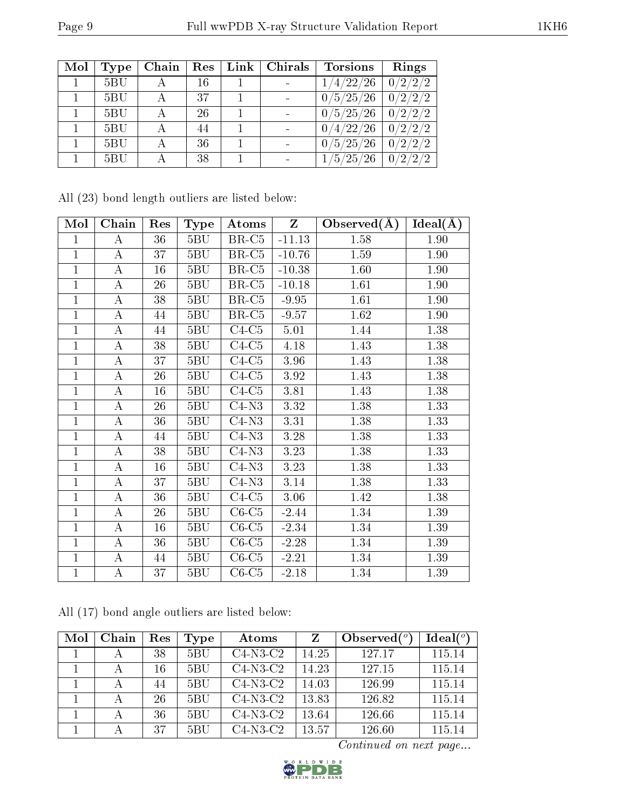| Mol | Type | Chain | $\operatorname{Res}% \left( \mathcal{N}\right) \equiv\operatorname{Res}(\mathcal{N}_{0})\cap\mathcal{N}_{1}$ | Link   Chirals | <b>Torsions</b>                   | Rings   |
|-----|------|-------|--------------------------------------------------------------------------------------------------------------|----------------|-----------------------------------|---------|
|     | 5BU  |       | 16                                                                                                           |                | $^{\prime}4/22/26$                | 0/2/2/2 |
|     | 5BU  |       | 37                                                                                                           |                | 0/5/25/26                         | 0/2/2/2 |
|     | 5BU  |       | 26                                                                                                           |                | 0/5/25/26                         | 0/2/2/2 |
|     | 5BU  |       | 44                                                                                                           |                | $^{\prime}4/22/26$ .              | 0/2/2/2 |
|     | 5BU  |       | 36                                                                                                           |                | 0/5/25/26                         | 0/2/2/2 |
|     | 5BU  |       | 38                                                                                                           |                | $^{\prime}5/25/$<br>$^{\prime}26$ | 0/2/2/2 |

|  |  | All (23) bond length outliers are listed below: |  |  |
|--|--|-------------------------------------------------|--|--|
|  |  |                                                 |  |  |

| Mol            | Chain          | Res    | <b>Type</b> | Atoms   | $\mathbf{Z}$ | Observed $(A)$ | $Ideal(\AA)$ |
|----------------|----------------|--------|-------------|---------|--------------|----------------|--------------|
| 1              | A              | 36     | 5BU         | $BR-C5$ | $-11.13$     | 1.58           | 1.90         |
| $\mathbf{1}$   | $\bf{A}$       | 37     | 5BU         | $BR-C5$ | $-10.76$     | 1.59           | 1.90         |
| $\mathbf{1}$   | $\bf{A}$       | 16     | 5BU         | $BR-C5$ | $-10.38$     | 1.60           | 1.90         |
| 1              | $\bf{A}$       | 26     | 5BU         | $BR-C5$ | $-10.18$     | 1.61           | 1.90         |
| 1              | $\bf{A}$       | 38     | 5BU         | $BR-C5$ | $-9.95$      | 1.61           | 1.90         |
| $\mathbf{1}$   | $\bf{A}$       | 44     | 5BU         | $BR-C5$ | $-9.57$      | 1.62           | 1.90         |
| 1              | $\bf{A}$       | 44     | 5BU         | $C4-C5$ | 5.01         | 1.44           | 1.38         |
| $\overline{1}$ | $\bf{A}$       | 38     | 5BU         | $C4-C5$ | 4.18         | 1.43           | 1.38         |
| $\mathbf 1$    | $\bf{A}$       | 37     | 5BU         | $C4-C5$ | 3.96         | 1.43           | 1.38         |
| $\mathbf{1}$   | $\bf{A}$       | 26     | 5BU         | $C4-C5$ | 3.92         | 1.43           | 1.38         |
| $\mathbf{1}$   | $\bf{A}$       | 16     | 5BU         | $C4-C5$ | 3.81         | 1.43           | 1.38         |
| $\mathbf{1}$   | $\bf{A}$       | 26     | 5BU         | $C4-N3$ | 3.32         | 1.38           | 1.33         |
| $\mathbf{1}$   | $\bf{A}$       | 36     | $5{\rm BU}$ | $C4-N3$ | 3.31         | 1.38           | 1.33         |
| $\overline{1}$ | $\bf{A}$       | 44     | 5BU         | $C4-N3$ | 3.28         | 1.38           | 1.33         |
| $\mathbf{1}$   | $\bf{A}$       | 38     | $5{\rm BU}$ | $C4-N3$ | 3.23         | 1.38           | 1.33         |
| $\mathbf{1}$   | $\bf{A}$       | $16\,$ | 5BU         | $C4-N3$ | 3.23         | 1.38           | 1.33         |
| $\mathbf{1}$   | $\bf{A}$       | 37     | 5BU         | $C4-N3$ | 3.14         | 1.38           | 1.33         |
| $\mathbf{1}$   | $\bf{A}$       | 36     | 5BU         | $C4-C5$ | 3.06         | 1.42           | 1.38         |
| $\overline{1}$ | $\bf{A}$       | 26     | 5BU         | $C6-C5$ | $-2.44$      | 1.34           | 1.39         |
| $\mathbf{1}$   | $\bf{A}$       | 16     | 5BU         | $C6-C5$ | $-2.34$      | 1.34           | 1.39         |
| $\mathbf{1}$   | $\bf{A}$       | 36     | $5{\rm BU}$ | $C6-C5$ | $-2.28$      | 1.34           | 1.39         |
| $\mathbf 1$    | $\bf{A}$       | 44     | 5BU         | $C6-C5$ | $-2.21$      | 1.34           | 1.39         |
| $\mathbf{1}$   | $\overline{A}$ | 37     | 5BU         | $C6-C5$ | $-2.18$      | 1.34           | 1.39         |

All (17) bond angle outliers are listed below:

| Mol | Chain | Res | Type | Atoms      | Z     | Observed $(°)$ | Ideal(°) |
|-----|-------|-----|------|------------|-------|----------------|----------|
|     |       | 38  | 5BU  | $C4-N3-C2$ | 14.25 | 127.17         | 115.14   |
|     |       | 16  | 5BU  | $C4-N3-C2$ | 14.23 | 127.15         | 115.14   |
|     |       | 44  | 5BU  | $C4-N3-C2$ | 14.03 | 126.99         | 115.14   |
|     |       | 26  | 5BU  | $C4-N3-C2$ | 13.83 | 126.82         | 115.14   |
|     |       | 36  | 5BU  | $C4-N3-C2$ | 13.64 | 126.66         | 115.14   |
|     |       | 37  | 5BU  | $C4-N3-C2$ | 13.57 | 126.60         | 115.14   |

Continued on next page...

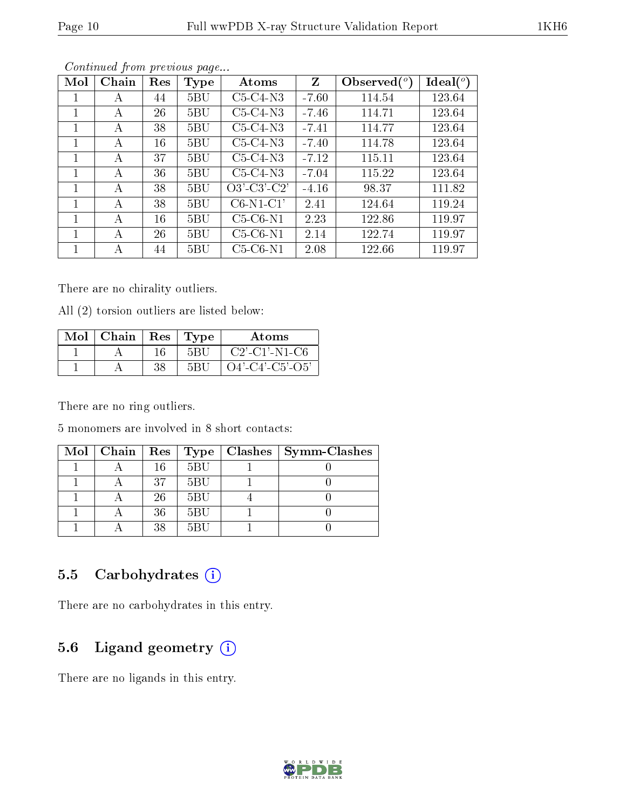| Mol          | Chain | Res | Type        | Atoms         | Z       | $\lambda$ Observed $(°)$ | $Ideal(^o)$ |
|--------------|-------|-----|-------------|---------------|---------|--------------------------|-------------|
| 1            | А     | 44  | 5BU         | $C5-C4-N3$    | $-7.60$ | 114.54                   | 123.64      |
| 1            | А     | 26  | 5BU         | $C5-C4-N3$    | $-7.46$ | 114.71                   | 123.64      |
| 1            | А     | 38  | 5BU         | $C5-C4-N3$    | $-7.41$ | 114.77                   | 123.64      |
| 1            | А     | 16  | 5BU         | $C5-C4-N3$    | $-7.40$ | 114.78                   | 123.64      |
| 1            | А     | 37  | $5{\rm BU}$ | $C5-C4-N3$    | $-7.12$ | 115.11                   | 123.64      |
| $\mathbf{1}$ | А     | 36  | $5{\rm BU}$ | $C5-C4-N3$    | $-7.04$ | 115.22                   | 123.64      |
| 1            | A     | 38  | 5BU         | $O3'-C3'-C2'$ | $-4.16$ | 98.37                    | 111.82      |
| 1            | А     | 38  | 5BU         | $C6-N1-C1'$   | 2.41    | 124.64                   | 119.24      |
| 1            | А     | 16  | 5BU         | $C5-C6-N1$    | 2.23    | 122.86                   | 119.97      |
|              | А     | 26  | 5BU         | $C5-C6-N1$    | 2.14    | 122.74                   | 119.97      |
|              | А     | 44  | 5BU         | $C5-C6-N1$    | 2.08    | 122.66                   | 119.97      |

Continued from previous page...

There are no chirality outliers.

All (2) torsion outliers are listed below:

| Mol | Chain | $\operatorname{Res}% \left( \mathcal{N}\right) \equiv\operatorname{Res}(\mathcal{N}_{0})\cap\mathcal{N}_{1}$ | 'Type | Atoms             |
|-----|-------|--------------------------------------------------------------------------------------------------------------|-------|-------------------|
|     |       | 16                                                                                                           | 5BI ' | $C2'$ -C1'-N1-C6  |
|     |       | 2 Q                                                                                                          | 5R I  | $O4'-C4'-C5'-O5'$ |

There are no ring outliers.

5 monomers are involved in 8 short contacts:

|  |    |     | Mol   Chain   Res   Type   Clashes   Symm-Clashes |
|--|----|-----|---------------------------------------------------|
|  | 16 | 5BU |                                                   |
|  | 37 | 5BU |                                                   |
|  | 26 | 5BU |                                                   |
|  | 36 | 5BU |                                                   |
|  | 38 | 5BU |                                                   |

### 5.5 Carbohydrates (i)

There are no carbohydrates in this entry.

### 5.6 Ligand geometry (i)

There are no ligands in this entry.

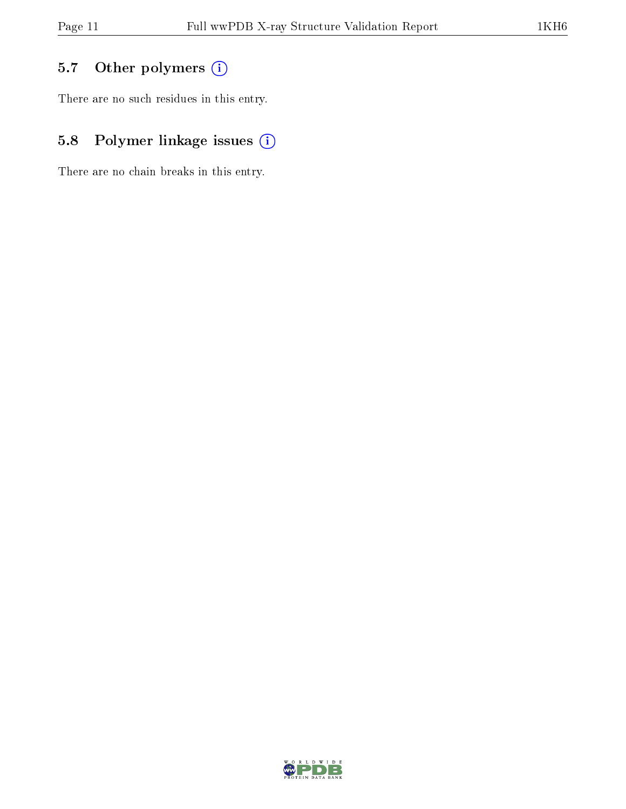## 5.7 [O](https://www.wwpdb.org/validation/2017/XrayValidationReportHelp#nonstandard_residues_and_ligands)ther polymers (i)

There are no such residues in this entry.

## 5.8 Polymer linkage issues (i)

There are no chain breaks in this entry.

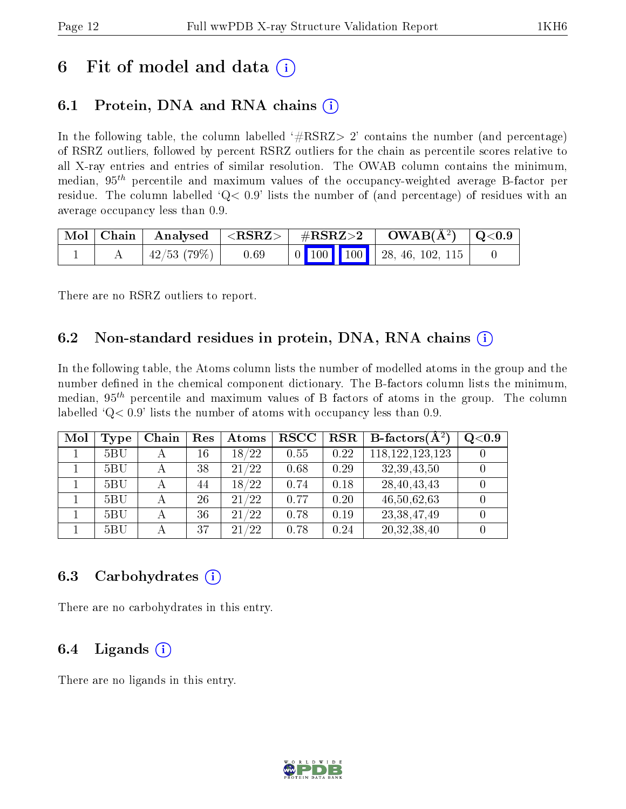## 6 Fit of model and data  $\left( \cdot \right)$

### 6.1 Protein, DNA and RNA chains (i)

In the following table, the column labelled  $#RSRZ>2'$  contains the number (and percentage) of RSRZ outliers, followed by percent RSRZ outliers for the chain as percentile scores relative to all X-ray entries and entries of similar resolution. The OWAB column contains the minimum, median,  $95<sup>th</sup>$  percentile and maximum values of the occupancy-weighted average B-factor per residue. The column labelled  $Q < 0.9$  lists the number of (and percentage) of residues with an average occupancy less than 0.9.

| $\mid$ Mol $\mid$ Chain $\mid$ |            |      |  |  | $\parallel$ Analysed $\parallel$ <rsrz> <math>\parallel</math> #RSRZ&gt;2 <math>\parallel</math> OWAB(Å<sup>2</sup>) <math>\parallel</math> Q&lt;0.9 <math>\parallel</math></rsrz> |  |
|--------------------------------|------------|------|--|--|------------------------------------------------------------------------------------------------------------------------------------------------------------------------------------|--|
|                                | 42/53(79%) | 0.69 |  |  | $\begin{array}{ c c c c c c c c c } \hline \end{array}$ 0 100 100 102, 46, 102, 115                                                                                                |  |

There are no RSRZ outliers to report.

### 6.2 Non-standard residues in protein, DNA, RNA chains  $(i)$

In the following table, the Atoms column lists the number of modelled atoms in the group and the number defined in the chemical component dictionary. The B-factors column lists the minimum, median,  $95<sup>th</sup>$  percentile and maximum values of B factors of atoms in the group. The column labelled  $Q< 0.9$  lists the number of atoms with occupancy less than 0.9.

| Mol | Type | Chain        | Res | Atoms     | $_{\rm RSCC}$ | <b>RSR</b> | <b>B</b> -factors $(\overline{A^2})$ | Q <sub>0.9</sub> |
|-----|------|--------------|-----|-----------|---------------|------------|--------------------------------------|------------------|
|     | 5BU  | А            | 16  | 18/22     | 0.55          | 0.22       | 118, 122, 123, 123                   |                  |
|     | 5BU  | $\mathbf{A}$ | 38  | 21/22     | 0.68          | 0.29       | 32, 39, 43, 50                       |                  |
|     | 5BU  | А            | 44  | 18/22     | 0.74          | 0.18       | 28, 40, 43, 43                       |                  |
|     | 5BU  |              | 26  | 21/22     | 0.77          | 0.20       | 46,50,62,63                          |                  |
|     | 5BU  | A            | 36  | 21/22     | 0.78          | 0.19       | 23, 38, 47, 49                       |                  |
|     | 5BU  |              | 37  | /22<br>21 | 0.78          | 0.24       | 20,32,38,40                          |                  |

#### 6.3 Carbohydrates (i)

There are no carbohydrates in this entry.

### 6.4 Ligands  $(i)$

There are no ligands in this entry.